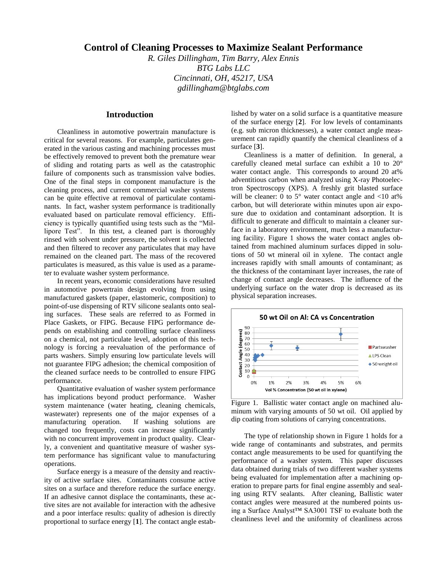# **Control of Cleaning Processes to Maximize Sealant Performance**

*R. Giles Dillingham, Tim Barry, Alex Ennis BTG Labs LLC Cincinnati, OH, 45217, USA gdillingham@btglabs.com*

## **Introduction**

Cleanliness in automotive powertrain manufacture is critical for several reasons. For example, particulates generated in the various casting and machining processes must be effectively removed to prevent both the premature wear of sliding and rotating parts as well as the catastrophic failure of components such as transmission valve bodies. One of the final steps in component manufacture is the cleaning process, and current commercial washer systems can be quite effective at removal of particulate contaminants. In fact, washer system performance is traditionally evaluated based on particulate removal efficiency. Efficiency is typically quantified using tests such as the "Millipore Test". In this test, a cleaned part is thoroughly rinsed with solvent under pressure, the solvent is collected and then filtered to recover any particulates that may have remained on the cleaned part. The mass of the recovered particulates is measured, as this value is used as a parameter to evaluate washer system performance.

In recent years, economic considerations have resulted in automotive powertrain design evolving from using manufactured gaskets (paper, elastomeric, composition) to point-of-use dispensing of RTV silicone sealants onto sealing surfaces. These seals are referred to as Formed in Place Gaskets, or FIPG. Because FIPG performance depends on establishing and controlling surface cleanliness on a chemical, not particulate level, adoption of this technology is forcing a reevaluation of the performance of parts washers. Simply ensuring low particulate levels will not guarantee FIPG adhesion; the chemical composition of the cleaned surface needs to be controlled to ensure FIPG performance.

Quantitative evaluation of washer system performance has implications beyond product performance. Washer system maintenance (water heating, cleaning chemicals, wastewater) represents one of the major expenses of a manufacturing operation. If washing solutions are changed too frequently, costs can increase significantly with no concurrent improvement in product quality. Clearly, a convenient and quantitative measure of washer system performance has significant value to manufacturing operations.

Surface energy is a measure of the density and reactivity of active surface sites. Contaminants consume active sites on a surface and therefore reduce the surface energy. If an adhesive cannot displace the contaminants, these active sites are not available for interaction with the adhesive and a poor interface results: quality of adhesion is directly proportional to surface energy [**1**]. The contact angle established by water on a solid surface is a quantitative measure of the surface energy [**2**]. For low levels of contaminants (e.g. sub micron thicknesses), a water contact angle measurement can rapidly quantify the chemical cleanliness of a surface [**3**].

Cleanliness is a matter of definition. In general, a carefully cleaned metal surface can exhibit a 10 to 20° water contact angle. This corresponds to around 20 at% adventitious carbon when analyzed using X-ray Photoelectron Spectroscopy (XPS). A freshly grit blasted surface will be cleaner: 0 to  $5^{\circ}$  water contact angle and  $\langle 10 \text{ at} \% \rangle$ carbon, but will deteriorate within minutes upon air exposure due to oxidation and contaminant adsorption. It is difficult to generate and difficult to maintain a cleaner surface in a laboratory environment, much less a manufacturing facility. Figure 1 shows the water contact angles obtained from machined aluminum surfaces dipped in solutions of 50 wt mineral oil in xylene. The contact angle increases rapidly with small amounts of contaminant; as the thickness of the contaminant layer increases, the rate of change of contact angle decreases. The influence of the underlying surface on the water drop is decreased as its physical separation increases.



Figure 1. Ballistic water contact angle on machined aluminum with varying amounts of 50 wt oil. Oil applied by dip coating from solutions of carrying concentrations.

The type of relationship shown in Figure 1 holds for a wide range of contaminants and substrates, and permits contact angle measurements to be used for quantifying the performance of a washer system. This paper discusses data obtained during trials of two different washer systems being evaluated for implementation after a machining operation to prepare parts for final engine assembly and sealing using RTV sealants. After cleaning, Ballistic water contact angles were measured at the numbered points using a Surface Analyst™ SA3001 TSF to evaluate both the cleanliness level and the uniformity of cleanliness across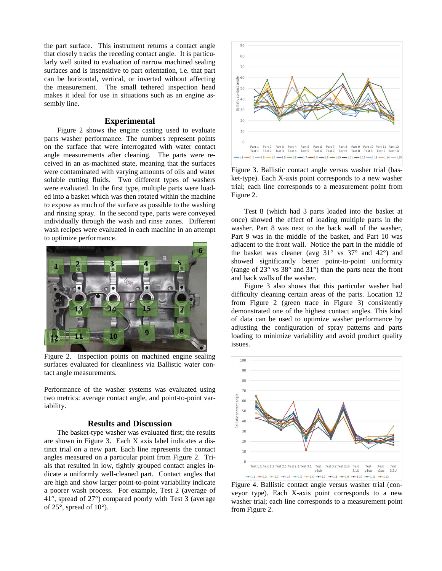the part surface. This instrument returns a contact angle that closely tracks the receding contact angle. It is particularly well suited to evaluation of narrow machined sealing surfaces and is insensitive to part orientation, i.e. that part can be horizontal, vertical, or inverted without affecting the measurement. The small tethered inspection head makes it ideal for use in situations such as an engine assembly line.

#### **Experimental**

Figure 2 shows the engine casting used to evaluate parts washer performance. The numbers represent points on the surface that were interrogated with water contact angle measurements after cleaning. The parts were received in an as-machined state, meaning that the surfaces were contaminated with varying amounts of oils and water soluble cutting fluids. Two different types of washers were evaluated. In the first type, multiple parts were loaded into a basket which was then rotated within the machine to expose as much of the surface as possible to the washing and rinsing spray. In the second type, parts were conveyed individually through the wash and rinse zones. Different wash recipes were evaluated in each machine in an attempt to optimize performance.



Figure 2. Inspection points on machined engine sealing surfaces evaluated for cleanliness via Ballistic water contact angle measurements.

Performance of the washer systems was evaluated using two metrics: average contact angle, and point-to-point variability.

## **Results and Discussion**

The basket-type washer was evaluated first; the results are shown in Figure 3. Each X axis label indicates a distinct trial on a new part. Each line represents the contact angles measured on a particular point from Figure 2. Trials that resulted in low, tightly grouped contact angles indicate a uniformly well-cleaned part. Contact angles that are high and show larger point-to-point variability indicate a poorer wash process. For example, Test 2 (average of 41°, spread of 27°) compared poorly with Test 3 (average of 25°, spread of 10°).



Figure 3. Ballistic contact angle versus washer trial (basket-type). Each X-axis point corresponds to a new washer trial; each line corresponds to a measurement point from Figure 2.

Test 8 (which had 3 parts loaded into the basket at once) showed the effect of loading multiple parts in the washer. Part 8 was next to the back wall of the washer, Part 9 was in the middle of the basket, and Part 10 was adjacent to the front wall. Notice the part in the middle of the basket was cleaner (avg  $31^\circ$  vs  $37^\circ$  and  $42^\circ$ ) and showed significantly better point-to-point uniformity (range of 23° vs 38° and 31°) than the parts near the front and back walls of the washer.

Figure 3 also shows that this particular washer had difficulty cleaning certain areas of the parts. Location 12 from Figure 2 (green trace in Figure 3) consistently demonstrated one of the highest contact angles. This kind of data can be used to optimize washer performance by adjusting the configuration of spray patterns and parts loading to minimize variability and avoid product quality issues.



Figure 4. Ballistic contact angle versus washer trial (conveyor type). Each X-axis point corresponds to a new washer trial; each line corresponds to a measurement point from Figure 2.